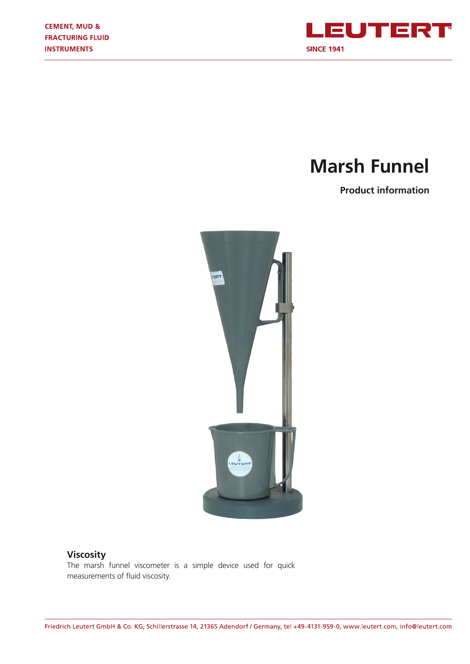

# **Marsh Funnel**

**Product information**



# **Viscosity**

The marsh funnel viscometer is a simple device used for quick measurements of fluid viscosity.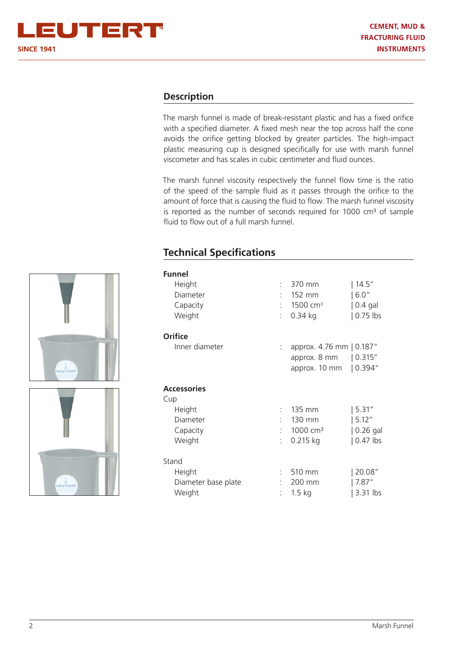## **Description**

The marsh funnel is made of break-resistant plastic and has a fixed orifice with a specified diameter. A fixed mesh near the top across half the cone avoids the orifice getting blocked by greater particles. The high-impact plastic measuring cup is designed specifically for use with marsh funnel viscometer and has scales in cubic centimeter and fluid ounces.

The marsh funnel viscosity respectively the funnel flow time is the ratio of the speed of the sample fluid as it passes through the orifice to the amount of force that is causing the fluid to flow. The marsh funnel viscosity is reported as the number of seconds required for  $1000 \text{ cm}^3$  of sample fluid to flow out of a full marsh funnel.

# **Technical Specifications**

| <b>Funnel</b>       |    |                          |                        |
|---------------------|----|--------------------------|------------------------|
| Height              |    | $: 370$ mm               | 14.5''                 |
| Diameter            |    | 152 mm                   | 6.0"                   |
| Capacity            |    | 1500 cm <sup>3</sup>     | $ 0.4$ gal             |
| Weight              |    | $0.34$ kg                | $0.75$ lbs             |
| <b>Orifice</b>      |    |                          |                        |
| Inner diameter      | t. | approx. 4.76 mm   0.187" |                        |
|                     |    | approx. 8 mm             | 0.315"                 |
|                     |    | approx. 10 mm            | 0.394"                 |
| <b>Accessories</b>  |    |                          |                        |
| Cup                 |    |                          |                        |
| Height              |    | 135 mm                   | 5.31″                  |
| Diameter            |    | 130 mm                   | 5.12"                  |
| Capacity            | ۰  | $1000 \, \text{cm}^3$    | $\vert$ 0.26 gal       |
| Weight              |    | $0.215$ kg               | $\vert 0.47 \vert$ lbs |
| Stand               |    |                          |                        |
| Height              |    | 510 mm                   | 20.08"                 |
| Diameter base plate |    | 200 mm                   | 7.87''                 |
| Weight              |    | $1.5$ kg                 | 3.31 lbs               |

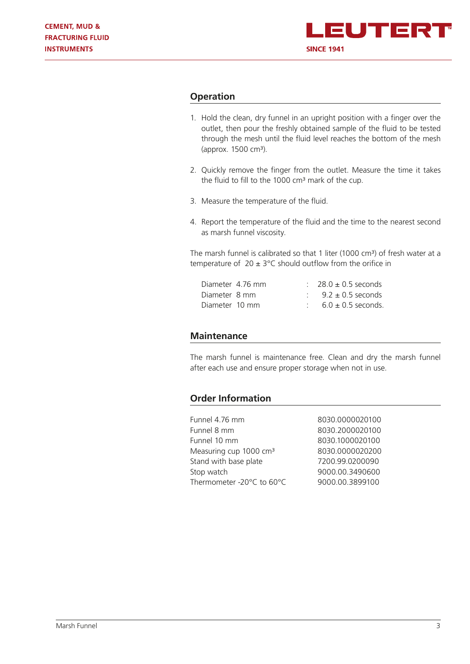

## **Operation**

- 1. Hold the clean, dry funnel in an upright position with a finger over the outlet, then pour the freshly obtained sample of the fluid to be tested through the mesh until the fluid level reaches the bottom of the mesh (approx. 1500 cm³).
- 2. Quickly remove the finger from the outlet. Measure the time it takes the fluid to fill to the 1000 cm<sup>3</sup> mark of the cup.
- 3. Measure the temperature of the fluid.
- 4. Report the temperature of the fluid and the time to the nearest second as marsh funnel viscosity.

The marsh funnel is calibrated so that 1 liter (1000 cm<sup>3</sup>) of fresh water at a temperature of  $20 \pm 3^{\circ}$ C should outflow from the orifice in

| Diameter 4.76 mm |  | $28.0 \pm 0.5$ seconds |
|------------------|--|------------------------|
| Diameter 8 mm    |  | $9.2 \pm 0.5$ seconds  |
| Diameter 10 mm   |  | $6.0 \pm 0.5$ seconds. |

#### **Maintenance**

The marsh funnel is maintenance free. Clean and dry the marsh funnel after each use and ensure proper storage when not in use.

### **Order Information**

| Funnel 4.76 mm                     | 8030.0000020100 |
|------------------------------------|-----------------|
| Funnel 8 mm                        | 8030.2000020100 |
| Funnel 10 mm                       | 8030.1000020100 |
| Measuring cup 1000 cm <sup>3</sup> | 8030.0000020200 |
| Stand with base plate              | 7200.99.0200090 |
| Stop watch                         | 9000.00.3490600 |
| Thermometer -20°C to 60°C          | 9000.00.3899100 |
|                                    |                 |